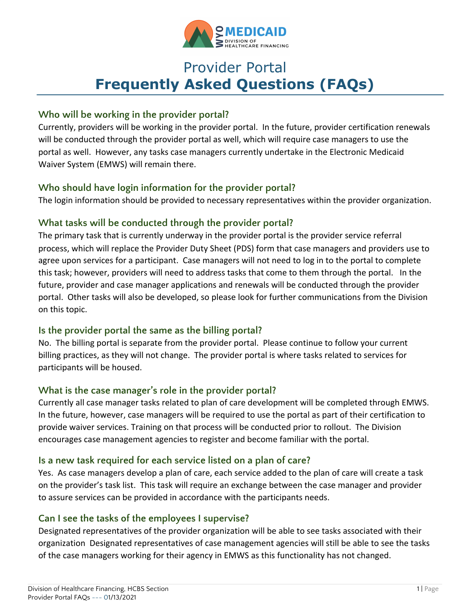

# Provider Portal **Frequently Asked Questions (FAQs)**

#### **Who will be working in the provider portal?**

Currently, providers will be working in the provider portal. In the future, provider certification renewals will be conducted through the provider portal as well, which will require case managers to use the portal as well. However, any tasks case managers currently undertake in the Electronic Medicaid Waiver System (EMWS) will remain there.

## **Who should have login information for the provider portal?**

The login information should be provided to necessary representatives within the provider organization.

# **What tasks will be conducted through the provider portal?**

The primary task that is currently underway in the provider portal is the provider service referral process, which will replace the Provider Duty Sheet (PDS) form that case managers and providers use to agree upon services for a participant. Case managers will not need to log in to the portal to complete this task; however, providers will need to address tasks that come to them through the portal. In the future, provider and case manager applications and renewals will be conducted through the provider portal. Other tasks will also be developed, so please look for further communications from the Division on this topic.

#### **Is the provider portal the same as the billing portal?**

No. The billing portal is separate from the provider portal. Please continue to follow your current billing practices, as they will not change. The provider portal is where tasks related to services for participants will be housed.

#### **What is the case manager's role in the provider portal?**

Currently all case manager tasks related to plan of care development will be completed through EMWS. In the future, however, case managers will be required to use the portal as part of their certification to provide waiver services. Training on that process will be conducted prior to rollout. The Division encourages case management agencies to register and become familiar with the portal.

#### **Is a new task required for each service listed on a plan of care?**

Yes. As case managers develop a plan of care, each service added to the plan of care will create a task on the provider's task list. This task will require an exchange between the case manager and provider to assure services can be provided in accordance with the participants needs.

#### **Can I see the tasks of the employees I supervise?**

Designated representatives of the provider organization will be able to see tasks associated with their organization Designated representatives of case management agencies will still be able to see the tasks of the case managers working for their agency in EMWS as this functionality has not changed.